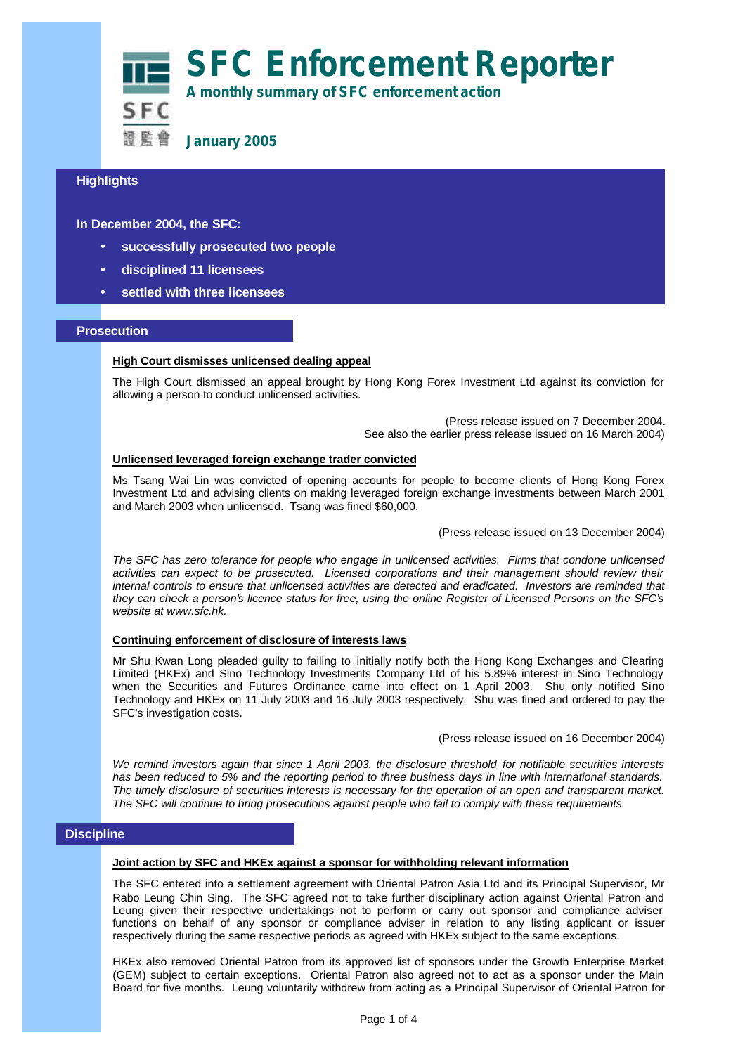**SFC Enforcement Reporter A monthly summary of SFC enforcement action**

SFC 語監會

**January 2005**

# **Highlights**

**In December 2004, the SFC:**

- **successfully prosecuted two people**
- **disciplined 11 licensees**
- **settled with three licensees**

## **Prosecution**

### **High Court dismisses unlicensed dealing appeal**

The High Court dismissed an appeal brought by Hong Kong Forex Investment Ltd against its conviction for allowing a person to conduct unlicensed activities.

> (Press release issued on 7 December 2004. See also the earlier press release issued on 16 March 2004)

### **Unlicensed leveraged foreign exchange trader convicted**

Ms Tsang Wai Lin was convicted of opening accounts for people to become clients of Hong Kong Forex Investment Ltd and advising clients on making leveraged foreign exchange investments between March 2001 and March 2003 when unlicensed. Tsang was fined \$60,000.

(Press release issued on 13 December 2004)

*The SFC has zero tolerance for people who engage in unlicensed activities. Firms that condone unlicensed activities can expect to be prosecuted. Licensed corporations and their management should review their internal controls to ensure that unlicensed activities are detected and eradicated. Investors are reminded that they can check a person's licence status for free, using the online Register of Licensed Persons on the SFC's website at www.sfc.hk.*

#### **Continuing enforcement of disclosure of interests laws**

Mr Shu Kwan Long pleaded guilty to failing to initially notify both the Hong Kong Exchanges and Clearing Limited (HKEx) and Sino Technology Investments Company Ltd of his 5.89% interest in Sino Technology when the Securities and Futures Ordinance came into effect on 1 April 2003. Shu only notified Sino Technology and HKEx on 11 July 2003 and 16 July 2003 respectively. Shu was fined and ordered to pay the SFC's investigation costs.

(Press release issued on 16 December 2004)

*We remind investors again that since 1 April 2003, the disclosure threshold for notifiable securities interests has been reduced to 5% and the reporting period to three business days in line with international standards. The timely disclosure of securities interests is necessary for the operation of an open and transparent market. The SFC will continue to bring prosecutions against people who fail to comply with these requirements.*

# **Discipline**

#### **Joint action by SFC and HKEx against a sponsor for withholding relevant information**

The SFC entered into a settlement agreement with Oriental Patron Asia Ltd and its Principal Supervisor, Mr Rabo Leung Chin Sing. The SFC agreed not to take further disciplinary action against Oriental Patron and Leung given their respective undertakings not to perform or carry out sponsor and compliance adviser functions on behalf of any sponsor or compliance adviser in relation to any listing applicant or issuer respectively during the same respective periods as agreed with HKEx subject to the same exceptions.

HKEx also removed Oriental Patron from its approved list of sponsors under the Growth Enterprise Market (GEM) subject to certain exceptions. Oriental Patron also agreed not to act as a sponsor under the Main Board for five months. Leung voluntarily withdrew from acting as a Principal Supervisor of Oriental Patron for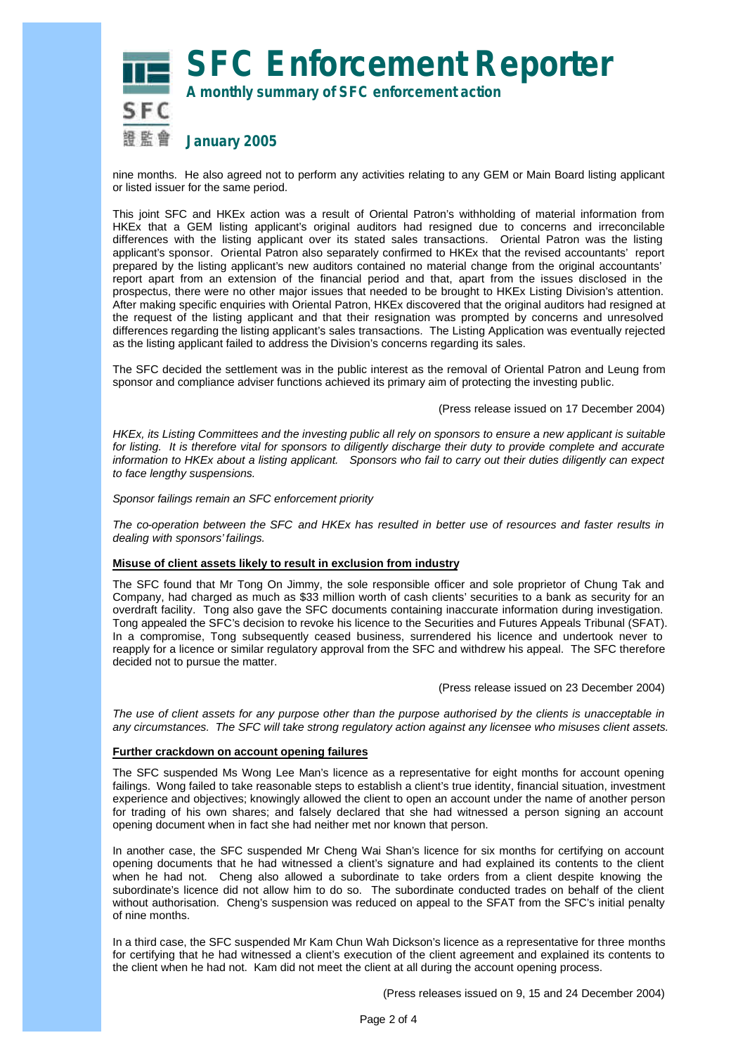**SFC Enforcement Reporter**

SFC 語監會

**A monthly summary of SFC enforcement action**

# **January 2005**

nine months. He also agreed not to perform any activities relating to any GEM or Main Board listing applicant or listed issuer for the same period.

This joint SFC and HKEx action was a result of Oriental Patron's withholding of material information from HKEx that a GEM listing applicant's original auditors had resigned due to concerns and irreconcilable differences with the listing applicant over its stated sales transactions. Oriental Patron was the listing applicant's sponsor. Oriental Patron also separately confirmed to HKEx that the revised accountants' report prepared by the listing applicant's new auditors contained no material change from the original accountants' report apart from an extension of the financial period and that, apart from the issues disclosed in the prospectus, there were no other major issues that needed to be brought to HKEx Listing Division's attention. After making specific enquiries with Oriental Patron, HKEx discovered that the original auditors had resigned at the request of the listing applicant and that their resignation was prompted by concerns and unresolved differences regarding the listing applicant's sales transactions. The Listing Application was eventually rejected as the listing applicant failed to address the Division's concerns regarding its sales.

The SFC decided the settlement was in the public interest as the removal of Oriental Patron and Leung from sponsor and compliance adviser functions achieved its primary aim of protecting the investing public.

#### (Press release issued on 17 December 2004)

*HKEx, its Listing Committees and the investing public all rely on sponsors to ensure a new applicant is suitable for listing. It is therefore vital for sponsors to diligently discharge their duty to provide complete and accurate information to HKEx about a listing applicant. Sponsors who fail to carry out their duties diligently can expect to face lengthy suspensions.*

*Sponsor failings remain an SFC enforcement priority*

*The co-operation between the SFC and HKEx has resulted in better use of resources and faster results in dealing with sponsors' failings.*

#### **Misuse of client assets likely to result in exclusion from industry**

The SFC found that Mr Tong On Jimmy, the sole responsible officer and sole proprietor of Chung Tak and Company, had charged as much as \$33 million worth of cash clients' securities to a bank as security for an overdraft facility. Tong also gave the SFC documents containing inaccurate information during investigation. Tong appealed the SFC's decision to revoke his licence to the Securities and Futures Appeals Tribunal (SFAT). In a compromise, Tong subsequently ceased business, surrendered his licence and undertook never to reapply for a licence or similar regulatory approval from the SFC and withdrew his appeal. The SFC therefore decided not to pursue the matter.

#### (Press release issued on 23 December 2004)

*The use of client assets for any purpose other than the purpose authorised by the clients is unacceptable in any circumstances. The SFC will take strong regulatory action against any licensee who misuses client assets.*

#### **Further crackdown on account opening failures**

The SFC suspended Ms Wong Lee Man's licence as a representative for eight months for account opening failings. Wong failed to take reasonable steps to establish a client's true identity, financial situation, investment experience and objectives; knowingly allowed the client to open an account under the name of another person for trading of his own shares; and falsely declared that she had witnessed a person signing an account opening document when in fact she had neither met nor known that person.

In another case, the SFC suspended Mr Cheng Wai Shan's licence for six months for certifying on account opening documents that he had witnessed a client's signature and had explained its contents to the client when he had not. Cheng also allowed a subordinate to take orders from a client despite knowing the subordinate's licence did not allow him to do so. The subordinate conducted trades on behalf of the client without authorisation. Cheng's suspension was reduced on appeal to the SFAT from the SFC's initial penalty of nine months.

In a third case, the SFC suspended Mr Kam Chun Wah Dickson's licence as a representative for three months for certifying that he had witnessed a client's execution of the client agreement and explained its contents to the client when he had not. Kam did not meet the client at all during the account opening process.

(Press releases issued on 9, 15 and 24 December 2004)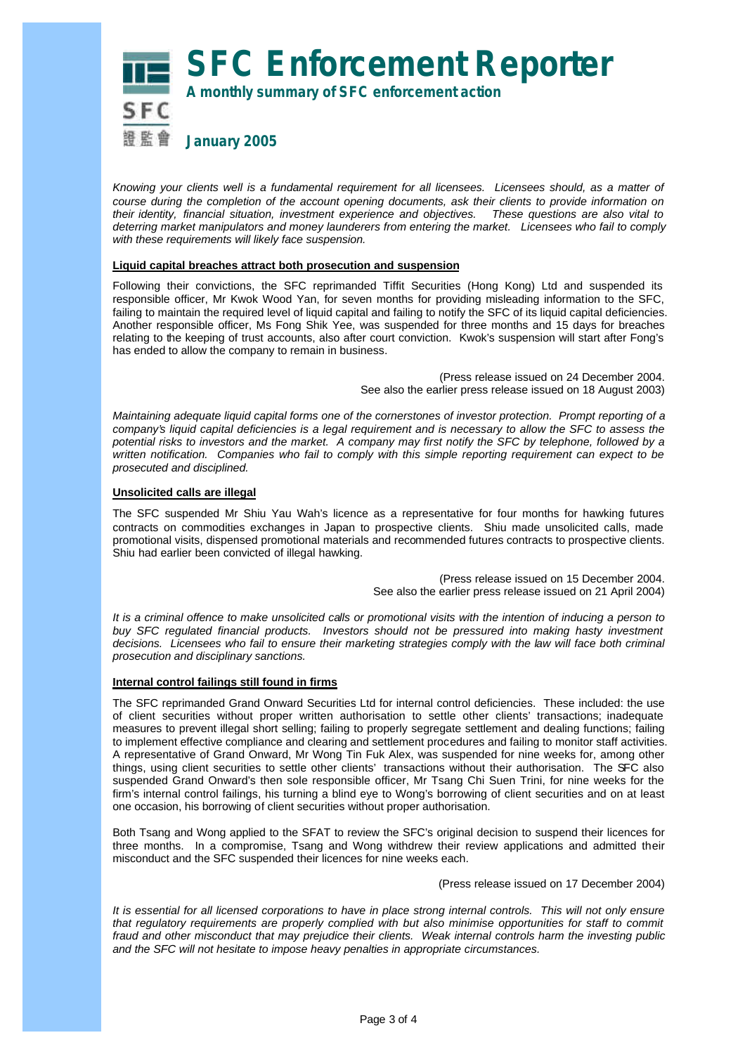**SFC Enforcement Reporter**



**A monthly summary of SFC enforcement action**

*Knowing your clients well is a fundamental requirement for all licensees. Licensees should, as a matter of course during the completion of the account opening documents, ask their clients to provide information on their identity, financial situation, investment experience and objectives. These questions are also vital to deterring market manipulators and money launderers from entering the market. Licensees who fail to comply with these requirements will likely face suspension.*

#### **Liquid capital breaches attract both prosecution and suspension**

Following their convictions, the SFC reprimanded Tiffit Securities (Hong Kong) Ltd and suspended its responsible officer, Mr Kwok Wood Yan, for seven months for providing misleading information to the SFC, failing to maintain the required level of liquid capital and failing to notify the SFC of its liquid capital deficiencies. Another responsible officer, Ms Fong Shik Yee, was suspended for three months and 15 days for breaches relating to the keeping of trust accounts, also after court conviction. Kwok's suspension will start after Fong's has ended to allow the company to remain in business.

> (Press release issued on 24 December 2004. See also the earlier press release issued on 18 August 2003)

*Maintaining adequate liquid capital forms one of the cornerstones of investor protection. Prompt reporting of a company's liquid capital deficiencies is a legal requirement and is necessary to allow the SFC to assess the potential risks to investors and the market. A company may first notify the SFC by telephone, followed by a written notification. Companies who fail to comply with this simple reporting requirement can expect to be prosecuted and disciplined.*

#### **Unsolicited calls are illegal**

The SFC suspended Mr Shiu Yau Wah's licence as a representative for four months for hawking futures contracts on commodities exchanges in Japan to prospective clients. Shiu made unsolicited calls, made promotional visits, dispensed promotional materials and recommended futures contracts to prospective clients. Shiu had earlier been convicted of illegal hawking.

> (Press release issued on 15 December 2004. See also the earlier press release issued on 21 April 2004)

*It is a criminal offence to make unsolicited calls or promotional visits with the intention of inducing a person to buy SFC regulated financial products. Investors should not be pressured into making hasty investment decisions. Licensees who fail to ensure their marketing strategies comply with the law will face both criminal prosecution and disciplinary sanctions.*

#### **Internal control failings still found in firms**

The SFC reprimanded Grand Onward Securities Ltd for internal control deficiencies. These included: the use of client securities without proper written authorisation to settle other clients' transactions; inadequate measures to prevent illegal short selling; failing to properly segregate settlement and dealing functions; failing to implement effective compliance and clearing and settlement procedures and failing to monitor staff activities. A representative of Grand Onward, Mr Wong Tin Fuk Alex, was suspended for nine weeks for, among other things, using client securities to settle other clients' transactions without their authorisation. The SFC also suspended Grand Onward's then sole responsible officer, Mr Tsang Chi Suen Trini, for nine weeks for the firm's internal control failings, his turning a blind eye to Wong's borrowing of client securities and on at least one occasion, his borrowing of client securities without proper authorisation.

Both Tsang and Wong applied to the SFAT to review the SFC's original decision to suspend their licences for three months. In a compromise, Tsang and Wong withdrew their review applications and admitted their misconduct and the SFC suspended their licences for nine weeks each.

(Press release issued on 17 December 2004)

*It is essential for all licensed corporations to have in place strong internal controls. This will not only ensure that regulatory requirements are properly complied with but also minimise opportunities for staff to commit fraud and other misconduct that may prejudice their clients. Weak internal controls harm the investing public and the SFC will not hesitate to impose heavy penalties in appropriate circumstances.*